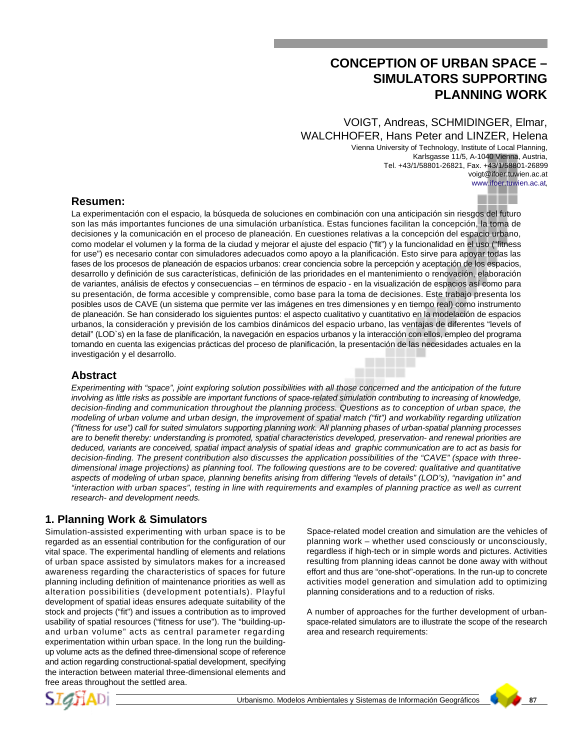# **CONCEPTION OF URBAN SPACE – SIMULATORS SUPPORTING PLANNING WORK**

# VOIGT, Andreas, SCHMIDINGER, Elmar, WALCHHOFER, Hans Peter and LINZER, Helena

Vienna University of Technology, Institute of Local Planning, Karlsgasse 11/5, A-1040 Vienna, Austria, Tel. +43/1/58801-26821, Fax. +43/1/58801-26899 voigt@ifoer.tuwien.ac.at www.ifoer.tuwien.ac.at,

### **Resumen:**

La experimentación con el espacio, la búsqueda de soluciones en combinación con una anticipación sin riesgos del futuro son las más importantes funciones de una simulación urbanística. Estas funciones facilitan la concepción, la toma de decisiones y la comunicación en el proceso de planeación. En cuestiones relativas a la concepción del espacio urbano, como modelar el volumen y la forma de la ciudad y mejorar el ajuste del espacio ("fit") y la funcionalidad en el uso ("fitness for use") es necesario contar con simuladores adecuados como apoyo a la planificación. Esto sirve para apoyar todas las fases de los procesos de planeación de espacios urbanos: crear conciencia sobre la percepción y aceptación de los espacios, desarrollo y definición de sus características, definición de las prioridades en el mantenimiento o renovación, elaboración de variantes, análisis de efectos y consecuencias – en términos de espacio - en la visualización de espacios así como para su presentación, de forma accesible y comprensible, como base para la toma de decisiones. Este trabajo presenta los posibles usos de CAVE (un sistema que permite ver las imágenes en tres dimensiones y en tiempo real) como instrumento de planeación. Se han considerado los siguientes puntos: el aspecto cualitativo y cuantitativo en la modelación de espacios urbanos, la consideración y previsión de los cambios dinámicos del espacio urbano, las ventajas de diferentes "levels of detail" (LOD`s) en la fase de planificación, la navegación en espacios urbanos y la interacción con ellos, empleo del programa tomando en cuenta las exigencias prácticas del proceso de planificación, la presentación de las necesidades actuales en la investigación y el desarrollo.

### **Abstract**

*Experimenting with "space", joint exploring solution possibilities with all those concerned and the anticipation of the future involving as little risks as possible are important functions of space-related simulation contributing to increasing of knowledge, decision-finding and communication throughout the planning process. Questions as to conception of urban space, the modeling of urban volume and urban design, the improvement of spatial match ("fit") and workability regarding utilization ("fitness for use") call for suited simulators supporting planning work. All planning phases of urban-spatial planning processes are to benefit thereby: understanding is promoted, spatial characteristics developed, preservation- and renewal priorities are deduced, variants are conceived, spatial impact analysis of spatial ideas and graphic communication are to act as basis for decision-finding. The present contribution also discusses the application possibilities of the "CAVE" (space with threedimensional image projections) as planning tool. The following questions are to be covered: qualitative and quantitative aspects of modeling of urban space, planning benefits arising from differing "levels of details" (LOD's), "navigation in" and "interaction with urban spaces", testing in line with requirements and examples of planning practice as well as current research- and development needs.*

# **1. Planning Work & Simulators**

Simulation-assisted experimenting with urban space is to be regarded as an essential contribution for the configuration of our vital space. The experimental handling of elements and relations of urban space assisted by simulators makes for a increased awareness regarding the characteristics of spaces for future planning including definition of maintenance priorities as well as alteration possibilities (development potentials). Playful development of spatial ideas ensures adequate suitability of the stock and projects ("fit") and issues a contribution as to improved usability of spatial resources ("fitness for use"). The "building-upand urban volume" acts as central parameter regarding experimentation within urban space. In the long run the buildingup volume acts as the defined three-dimensional scope of reference and action regarding constructional-spatial development, specifying the interaction between material three-dimensional elements and free areas throughout the settled area.

Space-related model creation and simulation are the vehicles of planning work – whether used consciously or unconsciously, regardless if high-tech or in simple words and pictures. Activities resulting from planning ideas cannot be done away with without effort and thus are "one-shot"-operations. In the run-up to concrete activities model generation and simulation add to optimizing planning considerations and to a reduction of risks.

A number of approaches for the further development of urbanspace-related simulators are to illustrate the scope of the research area and research requirements:



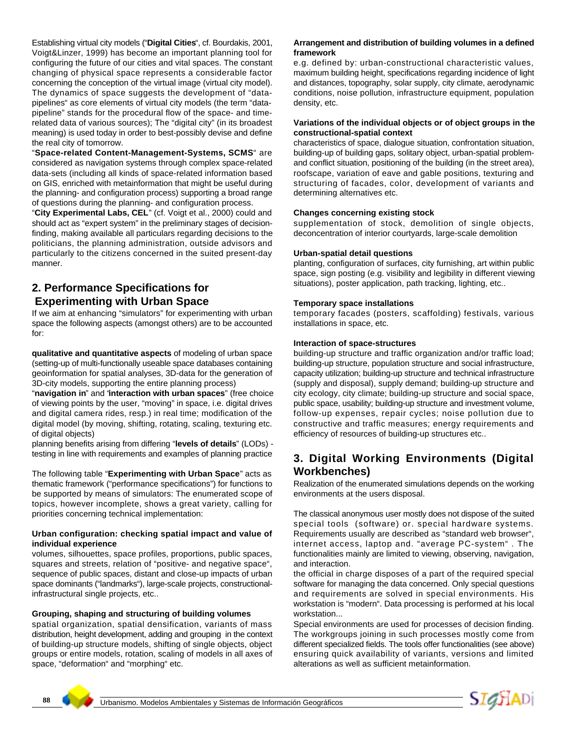Establishing virtual city models ("**Digital Cities**", cf. Bourdakis, 2001, Voigt&Linzer, 1999) has become an important planning tool for configuring the future of our cities and vital spaces. The constant changing of physical space represents a considerable factor concerning the conception of the virtual image (virtual city model). The dynamics of space suggests the development of "datapipelines" as core elements of virtual city models (the term "datapipeline" stands for the procedural flow of the space- and timerelated data of various sources); The "digital city" (in its broadest meaning) is used today in order to best-possibly devise and define the real city of tomorrow.

"**Space-related Content-Management-Systems, SCMS**" are considered as navigation systems through complex space-related data-sets (including all kinds of space-related information based on GIS, enriched with metainformation that might be useful during the planning- and configuration process) supporting a broad range of questions during the planning- and configuration process.

"**City Experimental Labs, CEL**" (cf. Voigt et al., 2000) could and should act as "expert system" in the preliminary stages of decisionfinding, making available all particulars regarding decisions to the politicians, the planning administration, outside advisors and particularly to the citizens concerned in the suited present-day manner.

### **2. Performance Specifications for Experimenting with Urban Space**

If we aim at enhancing "simulators" for experimenting with urban space the following aspects (amongst others) are to be accounted for:

**qualitative and quantitative aspects** of modeling of urban space (setting-up of multi-functionally useable space databases containing geoinformation for spatial analyses, 3D-data for the generation of 3D-city models, supporting the entire planning process)

"**navigation in**" and "**interaction with urban spaces**" (free choice of viewing points by the user, "moving" in space, i.e. digital drives and digital camera rides, resp.) in real time; modification of the digital model (by moving, shifting, rotating, scaling, texturing etc. of digital objects)

planning benefits arising from differing "**levels of details**" (LODs) testing in line with requirements and examples of planning practice

The following table "**Experimenting with Urban Space**" acts as thematic framework ("performance specifications") for functions to be supported by means of simulators: The enumerated scope of topics, however incomplete, shows a great variety, calling for priorities concerning technical implementation:

#### **Urban configuration: checking spatial impact and value of individual experience**

volumes, silhouettes, space profiles, proportions, public spaces, squares and streets, relation of "positive- and negative space", sequence of public spaces, distant and close-up impacts of urban space dominants ("landmarks"), large-scale projects, constructionalinfrastructural single projects, etc..

#### **Grouping, shaping and structuring of building volumes**

spatial organization, spatial densification, variants of mass distribution, height development, adding and grouping in the context of building-up structure models, shifting of single objects, object groups or entire models, rotation, scaling of models in all axes of space, "deformation" and "morphing" etc.

#### **Arrangement and distribution of building volumes in a defined framework**

e.g. defined by: urban-constructional characteristic values, maximum building height, specifications regarding incidence of light and distances, topography, solar supply, city climate, aerodynamic conditions, noise pollution, infrastructure equipment, population density, etc.

#### **Variations of the individual objects or of object groups in the constructional-spatial context**

characteristics of space, dialogue situation, confrontation situation, building-up of building gaps, solitary object, urban-spatial problemand conflict situation, positioning of the building (in the street area), roofscape, variation of eave and gable positions, texturing and structuring of facades, color, development of variants and determining alternatives etc.

#### **Changes concerning existing stock**

supplementation of stock, demolition of single objects, deconcentration of interior courtyards, large-scale demolition

#### **Urban-spatial detail questions**

planting, configuration of surfaces, city furnishing, art within public space, sign posting (e.g. visibility and legibility in different viewing situations), poster application, path tracking, lighting, etc..

#### **Temporary space installations**

temporary facades (posters, scaffolding) festivals, various installations in space, etc.

#### **Interaction of space-structures**

building-up structure and traffic organization and/or traffic load; building-up structure, population structure and social infrastructure, capacity utilization; building-up structure and technical infrastructure (supply and disposal), supply demand; building-up structure and city ecology, city climate; building-up structure and social space, public space, usability; building-up structure and investment volume, follow-up expenses, repair cycles; noise pollution due to constructive and traffic measures; energy requirements and efficiency of resources of building-up structures etc..

# **3. Digital Working Environments (Digital Workbenches)**

Realization of the enumerated simulations depends on the working environments at the users disposal.

The classical anonymous user mostly does not dispose of the suited special tools (software) or. special hardware systems. Requirements usually are described as "standard web browser", internet access, laptop and. "average PC-system" . The functionalities mainly are limited to viewing, observing, navigation, and interaction.

the official in charge disposes of a part of the required special software for managing the data concerned. Only special questions and requirements are solved in special environments. His workstation is "modern". Data processing is performed at his local workstation...

Special environments are used for processes of decision finding. The workgroups joining in such processes mostly come from different specialized fields. The tools offer functionalities (see above) ensuring quick availability of variants, versions and limited alterations as well as sufficient metainformation.

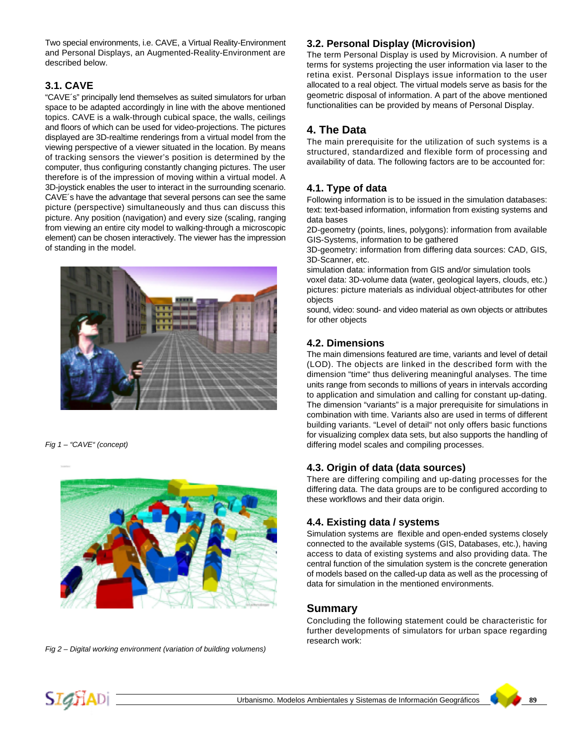Two special environments, i.e. CAVE, a Virtual Reality-Environment and Personal Displays, an Augmented-Reality-Environment are described below.

# **3.1. CAVE**

"CAVE´s" principally lend themselves as suited simulators for urban space to be adapted accordingly in line with the above mentioned topics. CAVE is a walk-through cubical space, the walls, ceilings and floors of which can be used for video-projections. The pictures displayed are 3D-realtime renderings from a virtual model from the viewing perspective of a viewer situated in the location. By means of tracking sensors the viewer's position is determined by the computer, thus configuring constantly changing pictures. The user therefore is of the impression of moving within a virtual model. A 3D-joystick enables the user to interact in the surrounding scenario. CAVE´s have the advantage that several persons can see the same picture (perspective) simultaneously and thus can discuss this picture. Any position (navigation) and every size (scaling, ranging from viewing an entire city model to walking-through a microscopic element) can be chosen interactively. The viewer has the impression of standing in the model.



*Fig 1 – "CAVE" (concept)*



*Fig 2 – Digital working environment (variation of building volumens)*

### **3.2. Personal Display (Microvision)**

The term Personal Display is used by Microvision. A number of terms for systems projecting the user information via laser to the retina exist. Personal Displays issue information to the user allocated to a real object. The virtual models serve as basis for the geometric disposal of information. A part of the above mentioned functionalities can be provided by means of Personal Display.

# **4. The Data**

The main prerequisite for the utilization of such systems is a structured, standardized and flexible form of processing and availability of data. The following factors are to be accounted for:

# **4.1. Type of data**

Following information is to be issued in the simulation databases: text: text-based information, information from existing systems and data bases

2D-geometry (points, lines, polygons): information from available GIS-Systems, information to be gathered

3D-geometry: information from differing data sources: CAD, GIS, 3D-Scanner, etc.

simulation data: information from GIS and/or simulation tools

voxel data: 3D-volume data (water, geological layers, clouds, etc.) pictures: picture materials as individual object-attributes for other objects

sound, video: sound- and video material as own objects or attributes for other objects

### **4.2. Dimensions**

The main dimensions featured are time, variants and level of detail (LOD). The objects are linked in the described form with the dimension "time" thus delivering meaningful analyses. The time units range from seconds to millions of years in intervals according to application and simulation and calling for constant up-dating. The dimension "variants" is a major prerequisite for simulations in combination with time. Variants also are used in terms of different building variants. "Level of detail" not only offers basic functions for visualizing complex data sets, but also supports the handling of differing model scales and compiling processes.

### **4.3. Origin of data (data sources)**

There are differing compiling and up-dating processes for the differing data. The data groups are to be configured according to these workflows and their data origin.

### **4.4. Existing data / systems**

Simulation systems are flexible and open-ended systems closely connected to the available systems (GIS, Databases, etc.), having access to data of existing systems and also providing data. The central function of the simulation system is the concrete generation of models based on the called-up data as well as the processing of data for simulation in the mentioned environments.

### **Summary**

Concluding the following statement could be characteristic for further developments of simulators for urban space regarding research work: